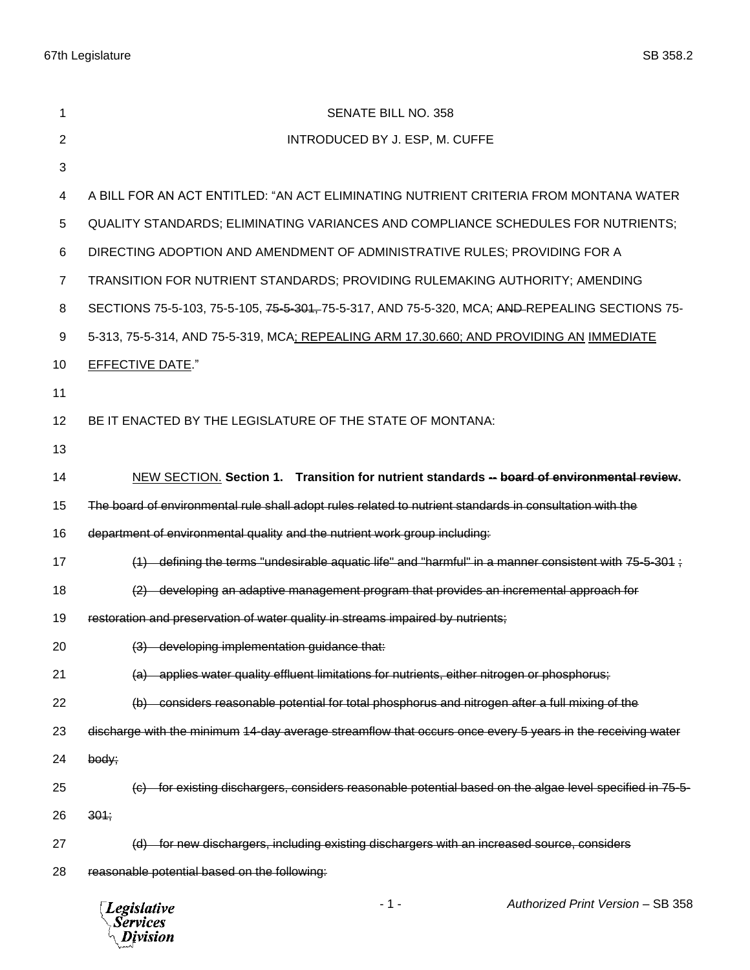| 1              | <b>SENATE BILL NO. 358</b>                                                                                 |
|----------------|------------------------------------------------------------------------------------------------------------|
| 2              | INTRODUCED BY J. ESP, M. CUFFE                                                                             |
| 3              |                                                                                                            |
| 4              | A BILL FOR AN ACT ENTITLED: "AN ACT ELIMINATING NUTRIENT CRITERIA FROM MONTANA WATER                       |
| 5              | QUALITY STANDARDS; ELIMINATING VARIANCES AND COMPLIANCE SCHEDULES FOR NUTRIENTS;                           |
| 6              | DIRECTING ADOPTION AND AMENDMENT OF ADMINISTRATIVE RULES; PROVIDING FOR A                                  |
| $\overline{7}$ | TRANSITION FOR NUTRIENT STANDARDS; PROVIDING RULEMAKING AUTHORITY; AMENDING                                |
| 8              | SECTIONS 75-5-103, 75-5-105, 75-5-301, 75-5-317, AND 75-5-320, MCA; AND REPEALING SECTIONS 75-             |
| 9              | 5-313, 75-5-314, AND 75-5-319, MCA; REPEALING ARM 17.30.660; AND PROVIDING AN IMMEDIATE                    |
| 10             | <b>EFFECTIVE DATE."</b>                                                                                    |
| 11             |                                                                                                            |
| 12             | BE IT ENACTED BY THE LEGISLATURE OF THE STATE OF MONTANA:                                                  |
| 13             |                                                                                                            |
| 14             | NEW SECTION. Section 1. Transition for nutrient standards -- board of environmental review.                |
| 15             | The board of environmental rule shall adopt rules related to nutrient standards in consultation with the   |
| 16             | department of environmental quality and the nutrient work group including:                                 |
| 17             | $(1)$ defining the terms "undesirable aquatic life" and "harmful" in a manner consistent with 75-5-301;    |
| 18             | (2) developing an adaptive management program that provides an incremental approach for                    |
| 19             | restoration and preservation of water quality in streams impaired by nutrients;                            |
| 20             | (3) developing implementation guidance that:                                                               |
| 21             | (a) applies water quality effluent limitations for nutrients, either nitrogen or phosphorus;               |
| 22             | (b) considers reasonable potential for total phosphorus and nitrogen after a full mixing of the            |
| 23             | discharge with the minimum 14-day average streamflow that occurs once every 5 years in the receiving water |
| 24             | body;                                                                                                      |
| 25             | for existing dischargers, considers reasonable potential based on the algae level specified in 75-5-       |
| 26             | 304;                                                                                                       |
| 27             | for new dischargers, including existing dischargers with an increased source, considers<br>(d)             |
| 28             | reasonable potential based on the following:                                                               |
|                |                                                                                                            |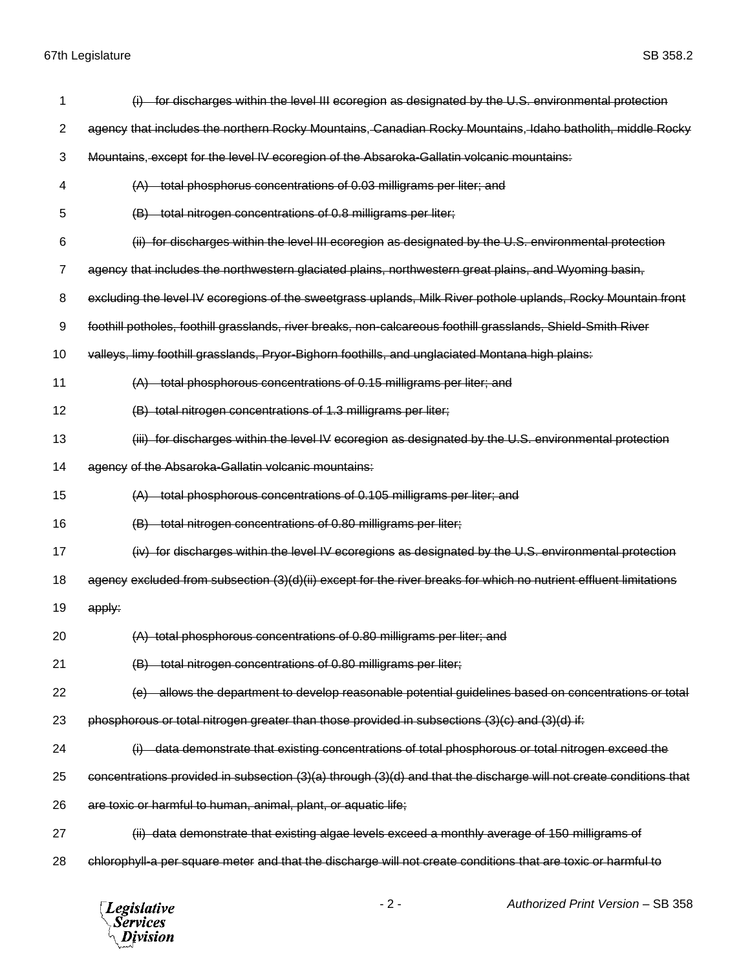| 1              | (i) for discharges within the level III ecoregion as designated by the U.S. environmental protection               |
|----------------|--------------------------------------------------------------------------------------------------------------------|
| $\overline{2}$ | agency that includes the northern Rocky Mountains, Canadian Rocky Mountains, Idaho batholith, middle Rocky         |
| 3              | Mountains, except for the level IV ecoregion of the Absaroka-Gallatin volcanic mountains:                          |
| 4              | (A) total phosphorus concentrations of 0.03 milligrams per liter; and                                              |
| 5              | total nitrogen concentrations of 0.8 milligrams per liter;                                                         |
| 6              | (ii) for discharges within the level III ecoregion as designated by the U.S. environmental protection              |
| 7              | agency that includes the northwestern glaciated plains, northwestern great plains, and Wyoming basin,              |
| 8              | excluding the level IV ecoregions of the sweetgrass uplands, Milk River pothole uplands, Rocky Mountain front      |
| 9              | foothill potholes, foothill grasslands, river breaks, non-calcareous foothill grasslands, Shield-Smith River       |
| 10             | valleys, limy foothill grasslands, Pryor-Bighorn foothills, and unglaciated Montana high plains:                   |
| 11             | total phosphorous concentrations of 0.15 milligrams per liter; and                                                 |
| 12             | (B) total nitrogen concentrations of 1.3 milligrams per liter;                                                     |
| 13             | (iii) for discharges within the level IV ecoregion as designated by the U.S. environmental protection              |
| 14             | agency of the Absaroka-Gallatin volcanic mountains:                                                                |
| 15             | (A) total phosphorous concentrations of 0.105 milligrams per liter; and                                            |
| 16             | total nitrogen concentrations of 0.80 milligrams per liter;                                                        |
| 17             | (iv) for discharges within the level IV ecoregions as designated by the U.S. environmental protection              |
| 18             | agency excluded from subsection (3)(d)(ii) except for the river breaks for which no nutrient effluent limitations  |
| 19             | apply:                                                                                                             |
| 20             | (A) total phosphorous concentrations of 0.80 milligrams per liter: and                                             |
| 21             | (B) total nitrogen concentrations of 0.80 milligrams per liter;                                                    |
| 22             | allows the department to develop reasonable potential guidelines based on concentrations or total                  |
| 23             | phosphorous or total nitrogen greater than those provided in subsections (3)(c) and (3)(d) if:                     |
| 24             | data demonstrate that existing concentrations of total phosphorous or total nitrogen exceed the                    |
| 25             | concentrations provided in subsection (3)(a) through (3)(d) and that the discharge will not create conditions that |
| 26             | are toxic or harmful to human, animal, plant, or aquatic life;                                                     |
| 27             | (ii) data demonstrate that existing algae levels exceed a monthly average of 150 milligrams of                     |
|                |                                                                                                                    |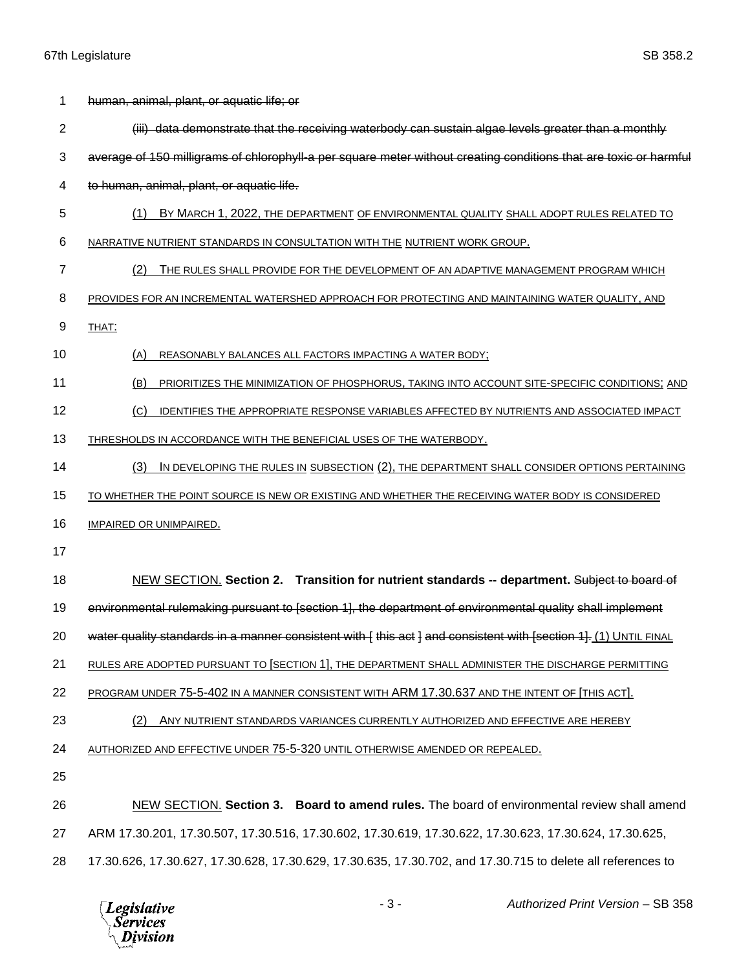| 1              | human, animal, plant, or aquatic life; or                                                                         |
|----------------|-------------------------------------------------------------------------------------------------------------------|
| $\overline{2}$ | (iii) data demonstrate that the receiving waterbody can sustain algae levels greater than a monthly               |
| 3              | average of 150 milligrams of chlorophyll-a per square meter without creating conditions that are toxic or harmful |
| 4              | to human, animal, plant, or aquatic life.                                                                         |
| 5              | BY MARCH 1, 2022, THE DEPARTMENT OF ENVIRONMENTAL QUALITY SHALL ADOPT RULES RELATED TO<br>(1)                     |
| 6              | NARRATIVE NUTRIENT STANDARDS IN CONSULTATION WITH THE NUTRIENT WORK GROUP.                                        |
| 7              | (2)<br>THE RULES SHALL PROVIDE FOR THE DEVELOPMENT OF AN ADAPTIVE MANAGEMENT PROGRAM WHICH                        |
| 8              | PROVIDES FOR AN INCREMENTAL WATERSHED APPROACH FOR PROTECTING AND MAINTAINING WATER QUALITY, AND                  |
| 9              | THAT:                                                                                                             |
| 10             | REASONABLY BALANCES ALL FACTORS IMPACTING A WATER BODY;<br>(A)                                                    |
| 11             | (B)<br>PRIORITIZES THE MINIMIZATION OF PHOSPHORUS, TAKING INTO ACCOUNT SITE-SPECIFIC CONDITIONS; AND              |
| 12             | (C)<br>IDENTIFIES THE APPROPRIATE RESPONSE VARIABLES AFFECTED BY NUTRIENTS AND ASSOCIATED IMPACT                  |
| 13             | THRESHOLDS IN ACCORDANCE WITH THE BENEFICIAL USES OF THE WATERBODY.                                               |
| 14             | IN DEVELOPING THE RULES IN SUBSECTION (2), THE DEPARTMENT SHALL CONSIDER OPTIONS PERTAINING<br>(3)                |
| 15             | TO WHETHER THE POINT SOURCE IS NEW OR EXISTING AND WHETHER THE RECEIVING WATER BODY IS CONSIDERED                 |
| 16             | <b>IMPAIRED OR UNIMPAIRED.</b>                                                                                    |
| 17             |                                                                                                                   |
| 18             | NEW SECTION. Section 2. Transition for nutrient standards -- department. Subject to board of                      |
| 19             | environmental rulemaking pursuant to [section 1], the department of environmental quality shall implement         |
| 20             | water quality standards in a manner consistent with [ this act ] and consistent with [section 1]. (1) UNTIL FINAL |
| 21             | RULES ARE ADOPTED PURSUANT TO [SECTION 1], THE DEPARTMENT SHALL ADMINISTER THE DISCHARGE PERMITTING               |
| 22             | PROGRAM UNDER 75-5-402 IN A MANNER CONSISTENT WITH ARM 17.30.637 AND THE INTENT OF [THIS ACT].                    |
| 23             | (2)<br>ANY NUTRIENT STANDARDS VARIANCES CURRENTLY AUTHORIZED AND EFFECTIVE ARE HEREBY                             |
| 24             | AUTHORIZED AND EFFECTIVE UNDER 75-5-320 UNTIL OTHERWISE AMENDED OR REPEALED.                                      |
| 25             |                                                                                                                   |
| 26             | NEW SECTION. Section 3. Board to amend rules. The board of environmental review shall amend                       |
| 27             | ARM 17.30.201, 17.30.507, 17.30.516, 17.30.602, 17.30.619, 17.30.622, 17.30.623, 17.30.624, 17.30.625,            |
| 28             | 17.30.626, 17.30.627, 17.30.628, 17.30.629, 17.30.635, 17.30.702, and 17.30.715 to delete all references to       |

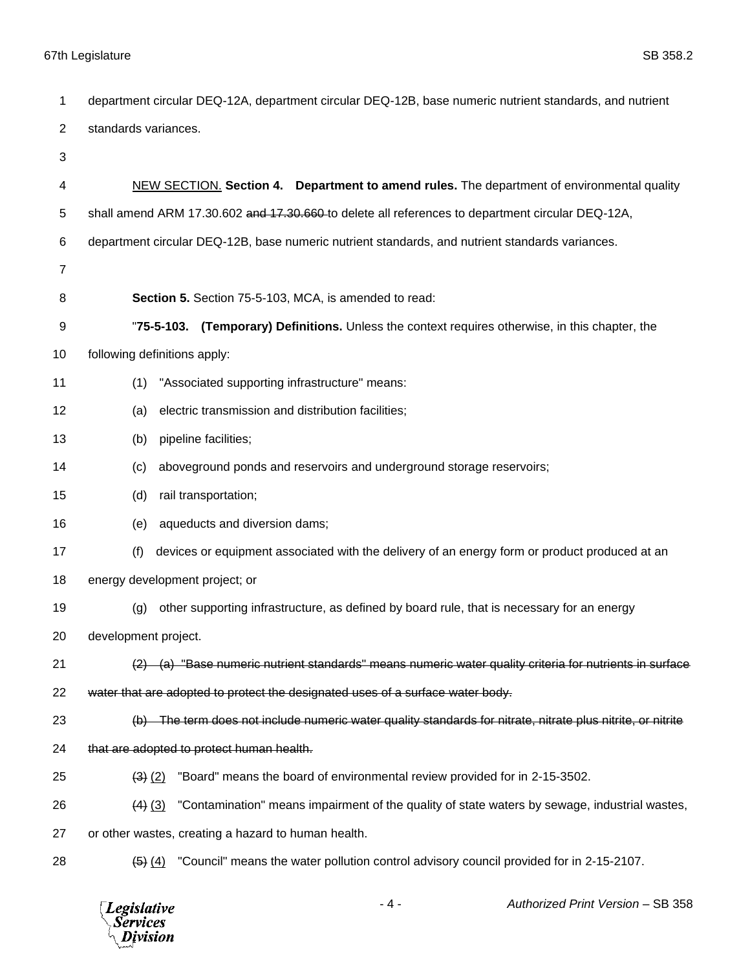| 1              | department circular DEQ-12A, department circular DEQ-12B, base numeric nutrient standards, and nutrient                          |
|----------------|----------------------------------------------------------------------------------------------------------------------------------|
| $\overline{c}$ | standards variances.                                                                                                             |
| 3              |                                                                                                                                  |
| 4              | NEW SECTION. Section 4. Department to amend rules. The department of environmental quality                                       |
| 5              | shall amend ARM 17.30.602 and 17.30.660-to delete all references to department circular DEQ-12A,                                 |
| 6              | department circular DEQ-12B, base numeric nutrient standards, and nutrient standards variances.                                  |
| $\overline{7}$ |                                                                                                                                  |
| 8              | Section 5. Section 75-5-103, MCA, is amended to read:                                                                            |
| 9              | "75-5-103. (Temporary) Definitions. Unless the context requires otherwise, in this chapter, the                                  |
| 10             | following definitions apply:                                                                                                     |
| 11             | "Associated supporting infrastructure" means:<br>(1)                                                                             |
| 12             | electric transmission and distribution facilities;<br>(a)                                                                        |
| 13             | pipeline facilities;<br>(b)                                                                                                      |
| 14             | aboveground ponds and reservoirs and underground storage reservoirs;<br>(c)                                                      |
| 15             | (d)<br>rail transportation;                                                                                                      |
| 16             | aqueducts and diversion dams;<br>(e)                                                                                             |
| 17             | (f)<br>devices or equipment associated with the delivery of an energy form or product produced at an                             |
| 18             | energy development project; or                                                                                                   |
| 19             | other supporting infrastructure, as defined by board rule, that is necessary for an energy<br>(g)                                |
| 20             | development project.                                                                                                             |
| 21             | $\langle 2 \rangle$ (a) "Base numeric nutrient standards" means numeric water quality criteria for nutrients in surface          |
| 22             | water that are adopted to protect the designated uses of a surface water body.                                                   |
| 23             | (b) The term does not include numeric water quality standards for nitrate, nitrate plus nitrite, or nitrite                      |
| 24             | that are adopted to protect human health.                                                                                        |
| 25             | "Board" means the board of environmental review provided for in 2-15-3502.<br>$(3)$ $(2)$                                        |
| 26             | "Contamination" means impairment of the quality of state waters by sewage, industrial wastes,<br>$(4)$ $(3)$                     |
| 27             | or other wastes, creating a hazard to human health.                                                                              |
| 28             | "Council" means the water pollution control advisory council provided for in 2-15-2107.<br>$\left( 5 \right)$ $\left( 4 \right)$ |
|                |                                                                                                                                  |

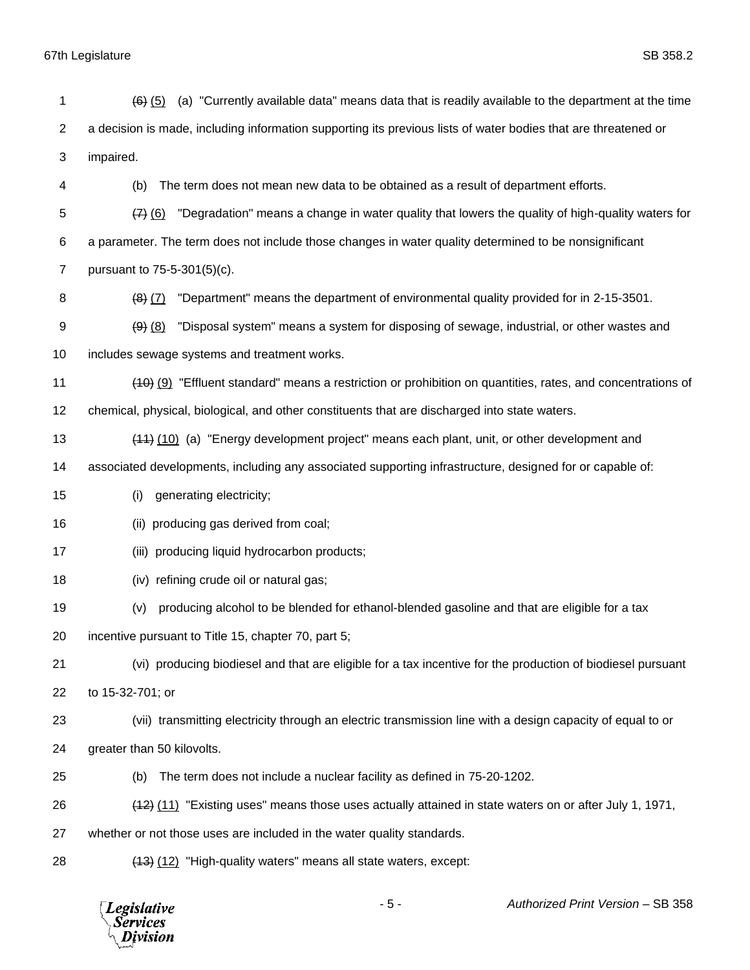*Legislative*<br>Services<br>*Division* 

| 1              | (a) "Currently available data" means data that is readily available to the department at the time<br>$(6)$ $(5)$ |
|----------------|------------------------------------------------------------------------------------------------------------------|
| $\overline{2}$ | a decision is made, including information supporting its previous lists of water bodies that are threatened or   |
| 3              | impaired.                                                                                                        |
| 4              | The term does not mean new data to be obtained as a result of department efforts.<br>(b)                         |
| 5              | "Degradation" means a change in water quality that lowers the quality of high-quality waters for<br>(7)(6)       |
| 6              | a parameter. The term does not include those changes in water quality determined to be nonsignificant            |
| $\overline{7}$ | pursuant to 75-5-301(5)(c).                                                                                      |
| 8              | "Department" means the department of environmental quality provided for in 2-15-3501.<br>$(8)$ $(7)$             |
| 9              | "Disposal system" means a system for disposing of sewage, industrial, or other wastes and<br>$(9)$ $(8)$         |
| 10             | includes sewage systems and treatment works.                                                                     |
| 11             | (40) (9) "Effluent standard" means a restriction or prohibition on quantities, rates, and concentrations of      |
| 12             | chemical, physical, biological, and other constituents that are discharged into state waters.                    |
| 13             | (44) (10) (a) "Energy development project" means each plant, unit, or other development and                      |
| 14             | associated developments, including any associated supporting infrastructure, designed for or capable of:         |
| 15             | generating electricity;<br>(i)                                                                                   |
| 16             | (ii) producing gas derived from coal;                                                                            |
| 17             | producing liquid hydrocarbon products;<br>(iii)                                                                  |
| 18             | (iv) refining crude oil or natural gas;                                                                          |
| 19             | producing alcohol to be blended for ethanol-blended gasoline and that are eligible for a tax<br>(v)              |
| 20             | incentive pursuant to Title 15, chapter 70, part 5;                                                              |
| 21             | (vi) producing biodiesel and that are eligible for a tax incentive for the production of biodiesel pursuant      |
| 22             | to 15-32-701; or                                                                                                 |
| 23             | (vii) transmitting electricity through an electric transmission line with a design capacity of equal to or       |
| 24             | greater than 50 kilovolts.                                                                                       |
| 25             | The term does not include a nuclear facility as defined in 75-20-1202.<br>(b)                                    |
| 26             | (11) "Existing uses" means those uses actually attained in state waters on or after July 1, 1971,                |
| 27             | whether or not those uses are included in the water quality standards.                                           |
| 28             | (13) (12) "High-quality waters" means all state waters, except:                                                  |
|                |                                                                                                                  |

- 5 - *Authorized Print Version* – SB 358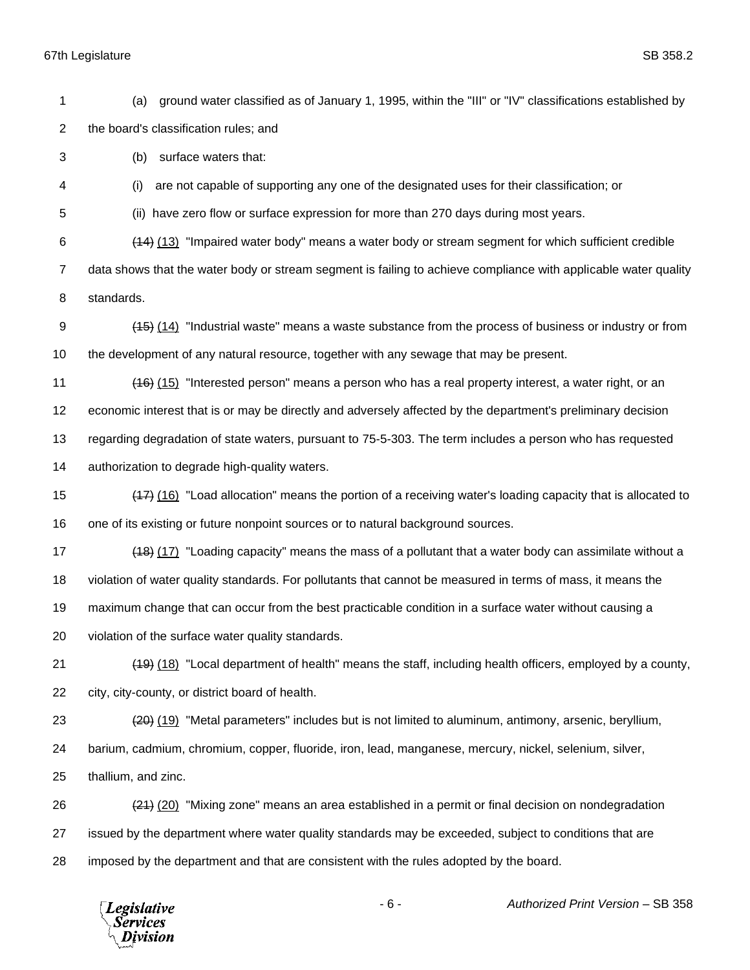(a) ground water classified as of January 1, 1995, within the "III" or "IV" classifications established by the board's classification rules; and

(b) surface waters that:

(i) are not capable of supporting any one of the designated uses for their classification; or

(ii) have zero flow or surface expression for more than 270 days during most years.

 (14) (13) "Impaired water body" means a water body or stream segment for which sufficient credible data shows that the water body or stream segment is failing to achieve compliance with applicable water quality

standards.

 (15) (14) "Industrial waste" means a waste substance from the process of business or industry or from the development of any natural resource, together with any sewage that may be present.

(16) (15) "Interested person" means a person who has a real property interest, a water right, or an

economic interest that is or may be directly and adversely affected by the department's preliminary decision

regarding degradation of state waters, pursuant to 75-5-303. The term includes a person who has requested

authorization to degrade high-quality waters.

 (17) (16) "Load allocation" means the portion of a receiving water's loading capacity that is allocated to one of its existing or future nonpoint sources or to natural background sources.

17 (18) (17) "Loading capacity" means the mass of a pollutant that a water body can assimilate without a violation of water quality standards. For pollutants that cannot be measured in terms of mass, it means the

maximum change that can occur from the best practicable condition in a surface water without causing a

violation of the surface water quality standards.

 (19) (18) "Local department of health" means the staff, including health officers, employed by a county, city, city-county, or district board of health.

(20) (19) "Metal parameters" includes but is not limited to aluminum, antimony, arsenic, beryllium,

barium, cadmium, chromium, copper, fluoride, iron, lead, manganese, mercury, nickel, selenium, silver,

thallium, and zinc.

 (21) (20) "Mixing zone" means an area established in a permit or final decision on nondegradation issued by the department where water quality standards may be exceeded, subject to conditions that are imposed by the department and that are consistent with the rules adopted by the board.

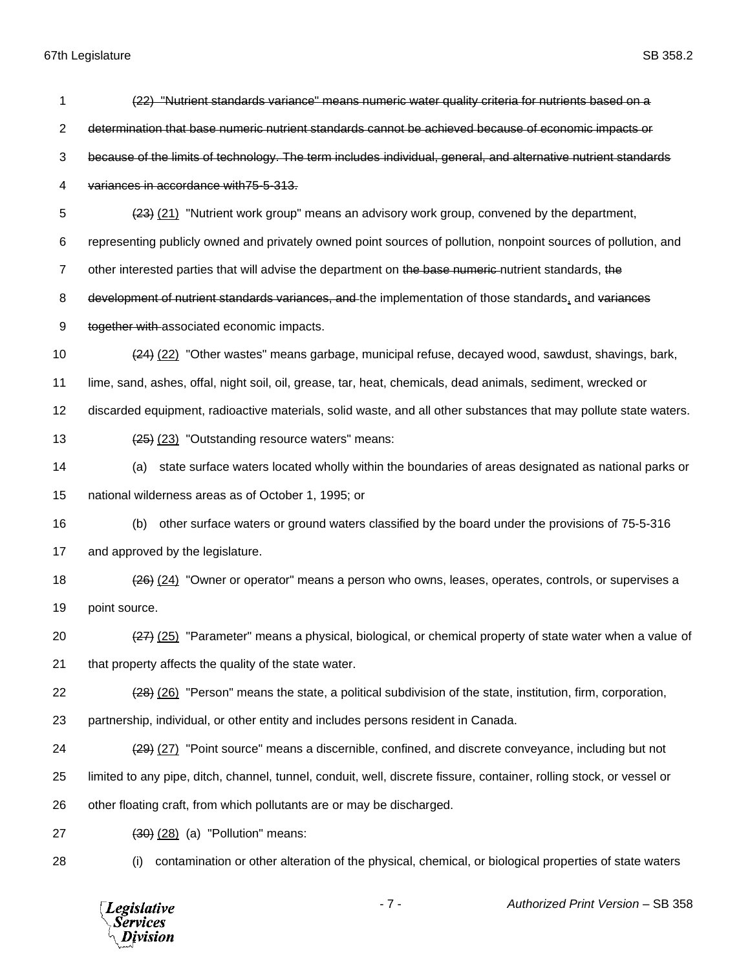| 1              | (22) "Nutrient standards variance" means numeric water quality criteria for nutrients based on a                     |
|----------------|----------------------------------------------------------------------------------------------------------------------|
| $\overline{2}$ | determination that base numeric nutrient standards cannot be achieved because of economic impacts or                 |
| 3              | because of the limits of technology. The term includes individual, general, and alternative nutrient standards       |
| 4              | variances in accordance with 75-5-313.                                                                               |
| 5              | (23) (21) "Nutrient work group" means an advisory work group, convened by the department,                            |
| 6              | representing publicly owned and privately owned point sources of pollution, nonpoint sources of pollution, and       |
| $\overline{7}$ | other interested parties that will advise the department on the base numeric nutrient standards, the                 |
| 8              | development of nutrient standards variances, and the implementation of those standards, and variances                |
| 9              | together with associated economic impacts.                                                                           |
| 10             | (22) "Other wastes" means garbage, municipal refuse, decayed wood, sawdust, shavings, bark,                          |
| 11             | lime, sand, ashes, offal, night soil, oil, grease, tar, heat, chemicals, dead animals, sediment, wrecked or          |
| 12             | discarded equipment, radioactive materials, solid waste, and all other substances that may pollute state waters.     |
| 13             | (25) (23) "Outstanding resource waters" means:                                                                       |
| 14             | state surface waters located wholly within the boundaries of areas designated as national parks or<br>(a)            |
| 15             | national wilderness areas as of October 1, 1995; or                                                                  |
| 16             | other surface waters or ground waters classified by the board under the provisions of 75-5-316<br>(b)                |
| 17             | and approved by the legislature.                                                                                     |
| 18             | (24) "Owner or operator" means a person who owns, leases, operates, controls, or supervises a                        |
| 19             | point source.                                                                                                        |
| 20             | (27) (25) "Parameter" means a physical, biological, or chemical property of state water when a value of              |
| 21             | that property affects the quality of the state water.                                                                |
| 22             | (28) (26) "Person" means the state, a political subdivision of the state, institution, firm, corporation,            |
| 23             | partnership, individual, or other entity and includes persons resident in Canada.                                    |
| 24             | (29) (27) "Point source" means a discernible, confined, and discrete conveyance, including but not                   |
| 25             | limited to any pipe, ditch, channel, tunnel, conduit, well, discrete fissure, container, rolling stock, or vessel or |
| 26             | other floating craft, from which pollutants are or may be discharged.                                                |
| 27             | $(30)$ $(28)$ $(a)$ "Pollution" means:                                                                               |
| 28             | contamination or other alteration of the physical, chemical, or biological properties of state waters<br>(i)         |

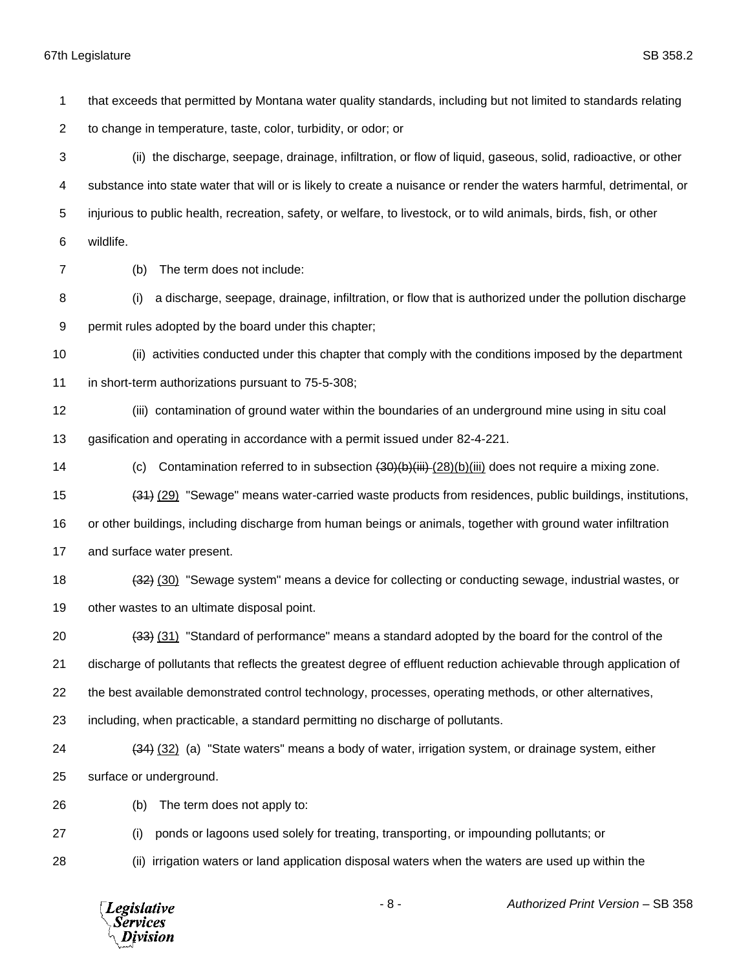that exceeds that permitted by Montana water quality standards, including but not limited to standards relating to change in temperature, taste, color, turbidity, or odor; or (ii) the discharge, seepage, drainage, infiltration, or flow of liquid, gaseous, solid, radioactive, or other substance into state water that will or is likely to create a nuisance or render the waters harmful, detrimental, or injurious to public health, recreation, safety, or welfare, to livestock, or to wild animals, birds, fish, or other wildlife. (b) The term does not include: (i) a discharge, seepage, drainage, infiltration, or flow that is authorized under the pollution discharge permit rules adopted by the board under this chapter; (ii) activities conducted under this chapter that comply with the conditions imposed by the department in short-term authorizations pursuant to 75-5-308; (iii) contamination of ground water within the boundaries of an underground mine using in situ coal gasification and operating in accordance with a permit issued under 82-4-221. 14 (c) Contamination referred to in subsection  $(30)(b)(iii)-(28)(b)(iii)$  does not require a mixing zone. (31) (29) "Sewage" means water-carried waste products from residences, public buildings, institutions, or other buildings, including discharge from human beings or animals, together with ground water infiltration and surface water present. 18 (32) (30) "Sewage system" means a device for collecting or conducting sewage, industrial wastes, or other wastes to an ultimate disposal point. (33) (31) "Standard of performance" means a standard adopted by the board for the control of the discharge of pollutants that reflects the greatest degree of effluent reduction achievable through application of the best available demonstrated control technology, processes, operating methods, or other alternatives, including, when practicable, a standard permitting no discharge of pollutants. (34) (32) (a) "State waters" means a body of water, irrigation system, or drainage system, either surface or underground. (b) The term does not apply to: (i) ponds or lagoons used solely for treating, transporting, or impounding pollutants; or (ii) irrigation waters or land application disposal waters when the waters are used up within the



- 8 - *Authorized Print Version* – SB 358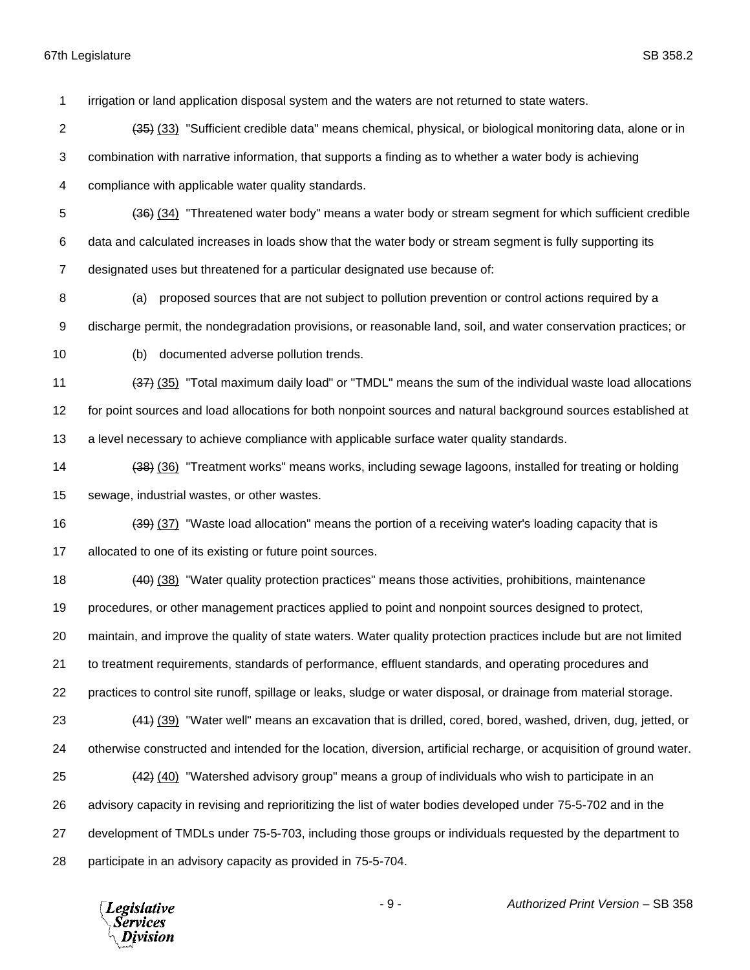irrigation or land application disposal system and the waters are not returned to state waters.

- (35) (33) "Sufficient credible data" means chemical, physical, or biological monitoring data, alone or in combination with narrative information, that supports a finding as to whether a water body is achieving compliance with applicable water quality standards.
- (36) (34) "Threatened water body" means a water body or stream segment for which sufficient credible
- data and calculated increases in loads show that the water body or stream segment is fully supporting its
- designated uses but threatened for a particular designated use because of:
- (a) proposed sources that are not subject to pollution prevention or control actions required by a
- discharge permit, the nondegradation provisions, or reasonable land, soil, and water conservation practices; or
- 
- (b) documented adverse pollution trends.

participate in an advisory capacity as provided in 75-5-704.

- 11 (37) (35) "Total maximum daily load" or "TMDL" means the sum of the individual waste load allocations for point sources and load allocations for both nonpoint sources and natural background sources established at
- a level necessary to achieve compliance with applicable surface water quality standards.
- (38) (36) "Treatment works" means works, including sewage lagoons, installed for treating or holding sewage, industrial wastes, or other wastes.
- 16 (39) (37) "Waste load allocation" means the portion of a receiving water's loading capacity that is 17 allocated to one of its existing or future point sources.
- 18 (40) (38) "Water quality protection practices" means those activities, prohibitions, maintenance
- procedures, or other management practices applied to point and nonpoint sources designed to protect,
- maintain, and improve the quality of state waters. Water quality protection practices include but are not limited
- to treatment requirements, standards of performance, effluent standards, and operating procedures and
- practices to control site runoff, spillage or leaks, sludge or water disposal, or drainage from material storage.
- 23 (44) (39) "Water well" means an excavation that is drilled, cored, bored, washed, driven, dug, jetted, or otherwise constructed and intended for the location, diversion, artificial recharge, or acquisition of ground water. (42) (40) "Watershed advisory group" means a group of individuals who wish to participate in an advisory capacity in revising and reprioritizing the list of water bodies developed under 75-5-702 and in the development of TMDLs under 75-5-703, including those groups or individuals requested by the department to
	- **Legislative** *Services* ivision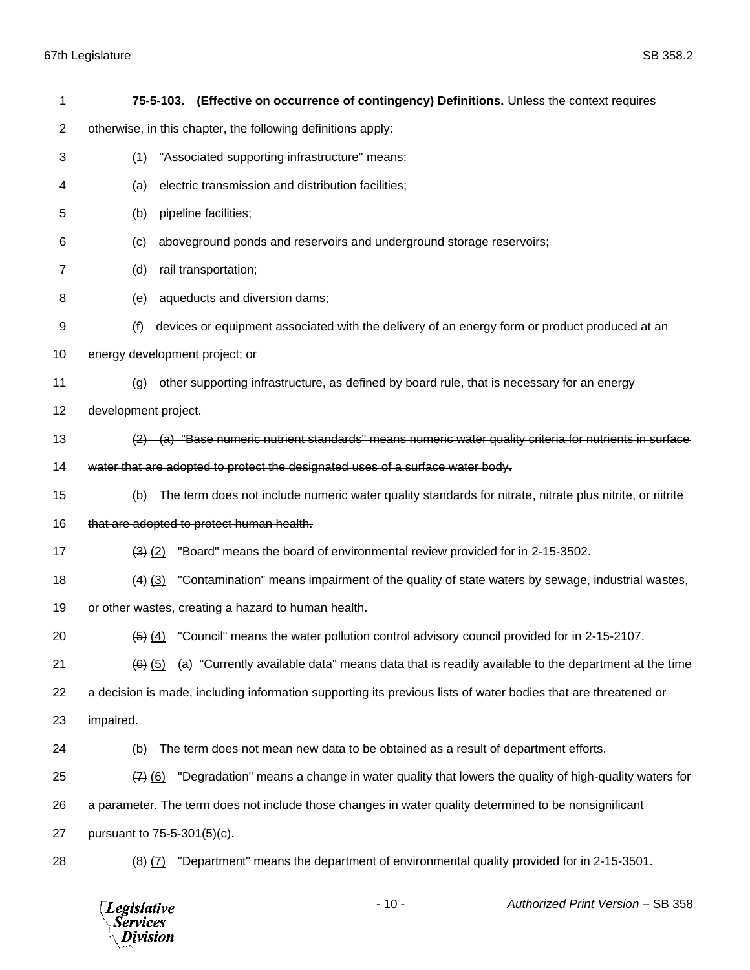| 1  | 75-5-103. (Effective on occurrence of contingency) Definitions. Unless the context requires                    |
|----|----------------------------------------------------------------------------------------------------------------|
| 2  | otherwise, in this chapter, the following definitions apply:                                                   |
| 3  | "Associated supporting infrastructure" means:<br>(1)                                                           |
| 4  | electric transmission and distribution facilities;<br>(a)                                                      |
| 5  | pipeline facilities;<br>(b)                                                                                    |
| 6  | aboveground ponds and reservoirs and underground storage reservoirs;<br>(c)                                    |
| 7  | rail transportation;<br>(d)                                                                                    |
| 8  | aqueducts and diversion dams;<br>(e)                                                                           |
| 9  | devices or equipment associated with the delivery of an energy form or product produced at an<br>(f)           |
| 10 | energy development project; or                                                                                 |
| 11 | other supporting infrastructure, as defined by board rule, that is necessary for an energy<br>(g)              |
| 12 | development project.                                                                                           |
| 13 | $(2)$ (a) "Base numeric nutrient standards" means numeric water quality criteria for nutrients in surface      |
| 14 | water that are adopted to protect the designated uses of a surface water body.                                 |
| 15 | (b) The term does not include numeric water quality standards for nitrate, nitrate plus nitrite, or nitrite    |
| 16 | that are adopted to protect human health.                                                                      |
| 17 | "Board" means the board of environmental review provided for in 2-15-3502.<br>$(3)$ $(2)$                      |
| 18 | "Contamination" means impairment of the quality of state waters by sewage, industrial wastes,<br>$(4)$ $(3)$   |
| 19 | or other wastes, creating a hazard to human health.                                                            |
| 20 | $\frac{4}{5}$ (4) "Council" means the water pollution control advisory council provided for in 2-15-2107.      |
| 21 | (a) "Currently available data" means data that is readily available to the department at the time<br>$(6)$ (5) |
| 22 | a decision is made, including information supporting its previous lists of water bodies that are threatened or |
| 23 | impaired.                                                                                                      |
| 24 | The term does not mean new data to be obtained as a result of department efforts.<br>(b)                       |
| 25 | "Degradation" means a change in water quality that lowers the quality of high-quality waters for<br>$(7)$ (6)  |
| 26 | a parameter. The term does not include those changes in water quality determined to be nonsignificant          |
| 27 | pursuant to 75-5-301(5)(c).                                                                                    |
| 28 | "Department" means the department of environmental quality provided for in 2-15-3501.<br>$(8)$ $(7)$           |

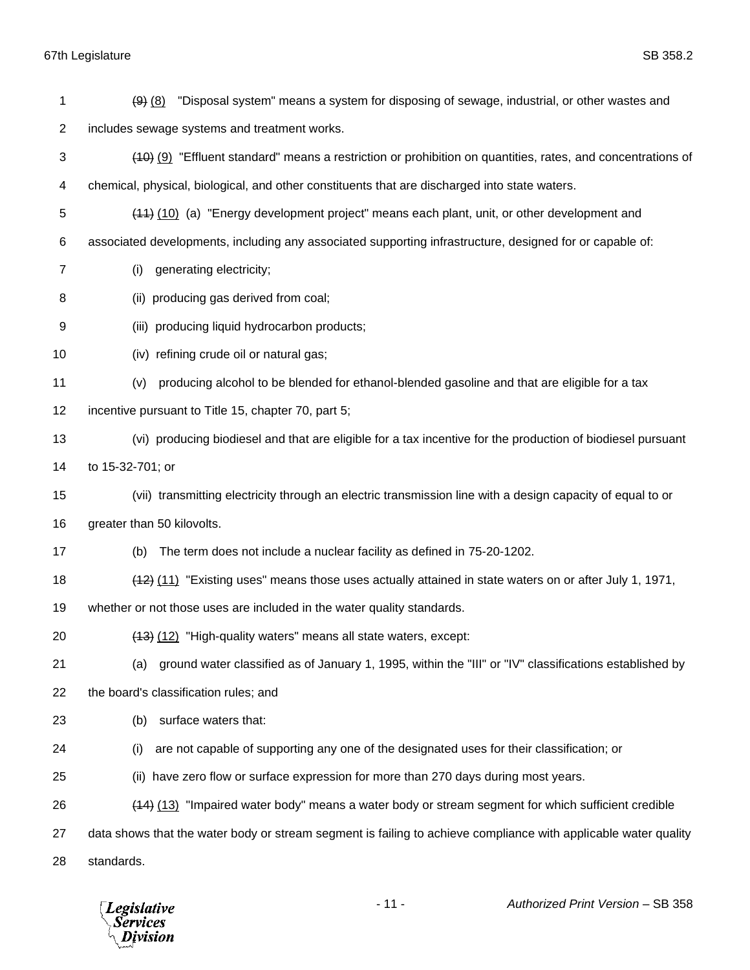| 1              | "Disposal system" means a system for disposing of sewage, industrial, or other wastes and<br>$(9)$ $(8)$        |
|----------------|-----------------------------------------------------------------------------------------------------------------|
| $\overline{2}$ | includes sewage systems and treatment works.                                                                    |
| 3              | (40) (9) "Effluent standard" means a restriction or prohibition on quantities, rates, and concentrations of     |
| 4              | chemical, physical, biological, and other constituents that are discharged into state waters.                   |
| 5              | (44) (10) (a) "Energy development project" means each plant, unit, or other development and                     |
| 6              | associated developments, including any associated supporting infrastructure, designed for or capable of:        |
| $\overline{7}$ | generating electricity;<br>(i)                                                                                  |
| 8              | (ii) producing gas derived from coal;                                                                           |
| 9              | (iii) producing liquid hydrocarbon products;                                                                    |
| 10             | (iv) refining crude oil or natural gas;                                                                         |
| 11             | producing alcohol to be blended for ethanol-blended gasoline and that are eligible for a tax<br>(v)             |
| 12             | incentive pursuant to Title 15, chapter 70, part 5;                                                             |
| 13             | (vi) producing biodiesel and that are eligible for a tax incentive for the production of biodiesel pursuant     |
| 14             | to 15-32-701; or                                                                                                |
| 15             | (vii) transmitting electricity through an electric transmission line with a design capacity of equal to or      |
| 16             | greater than 50 kilovolts.                                                                                      |
| 17             | The term does not include a nuclear facility as defined in 75-20-1202.<br>(b)                                   |
| 18             | (11) "Existing uses" means those uses actually attained in state waters on or after July 1, 1971,               |
| 19             | whether or not those uses are included in the water quality standards.                                          |
| 20             | (13) (12) "High-quality waters" means all state waters, except:                                                 |
| 21             | ground water classified as of January 1, 1995, within the "III" or "IV" classifications established by<br>(a)   |
| 22             | the board's classification rules; and                                                                           |
| 23             | surface waters that:<br>(b)                                                                                     |
| 24             | are not capable of supporting any one of the designated uses for their classification; or<br>(i)                |
| 25             | (ii) have zero flow or surface expression for more than 270 days during most years.                             |
| 26             | (14) (13) "Impaired water body" means a water body or stream segment for which sufficient credible              |
| 27             | data shows that the water body or stream segment is failing to achieve compliance with applicable water quality |
| 28             | standards.                                                                                                      |

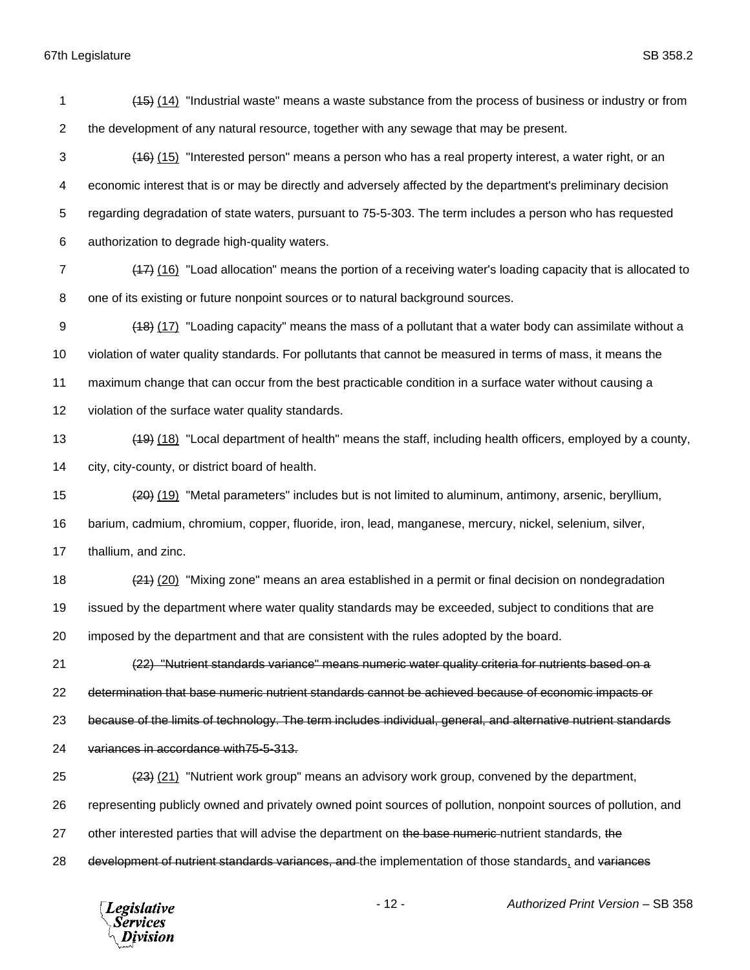(15) (14) "Industrial waste" means a waste substance from the process of business or industry or from the development of any natural resource, together with any sewage that may be present. 3 (16) (15) "Interested person" means a person who has a real property interest, a water right, or an economic interest that is or may be directly and adversely affected by the department's preliminary decision regarding degradation of state waters, pursuant to 75-5-303. The term includes a person who has requested authorization to degrade high-quality waters. (17) (16) "Load allocation" means the portion of a receiving water's loading capacity that is allocated to one of its existing or future nonpoint sources or to natural background sources. (18) (17) "Loading capacity" means the mass of a pollutant that a water body can assimilate without a violation of water quality standards. For pollutants that cannot be measured in terms of mass, it means the maximum change that can occur from the best practicable condition in a surface water without causing a violation of the surface water quality standards. (19) (18) "Local department of health" means the staff, including health officers, employed by a county, city, city-county, or district board of health. (20) (19) "Metal parameters" includes but is not limited to aluminum, antimony, arsenic, beryllium, barium, cadmium, chromium, copper, fluoride, iron, lead, manganese, mercury, nickel, selenium, silver, thallium, and zinc. 18 (21) (20) "Mixing zone" means an area established in a permit or final decision on nondegradation issued by the department where water quality standards may be exceeded, subject to conditions that are imposed by the department and that are consistent with the rules adopted by the board. (22) "Nutrient standards variance" means numeric water quality criteria for nutrients based on a determination that base numeric nutrient standards cannot be achieved because of economic impacts or because of the limits of technology. The term includes individual, general, and alternative nutrient standards variances in accordance with75-5-313. (23) (21) "Nutrient work group" means an advisory work group, convened by the department, representing publicly owned and privately owned point sources of pollution, nonpoint sources of pollution, and 27 other interested parties that will advise the department on the base numeric nutrient standards, the

28 development of nutrient standards variances, and the implementation of those standards, and variances

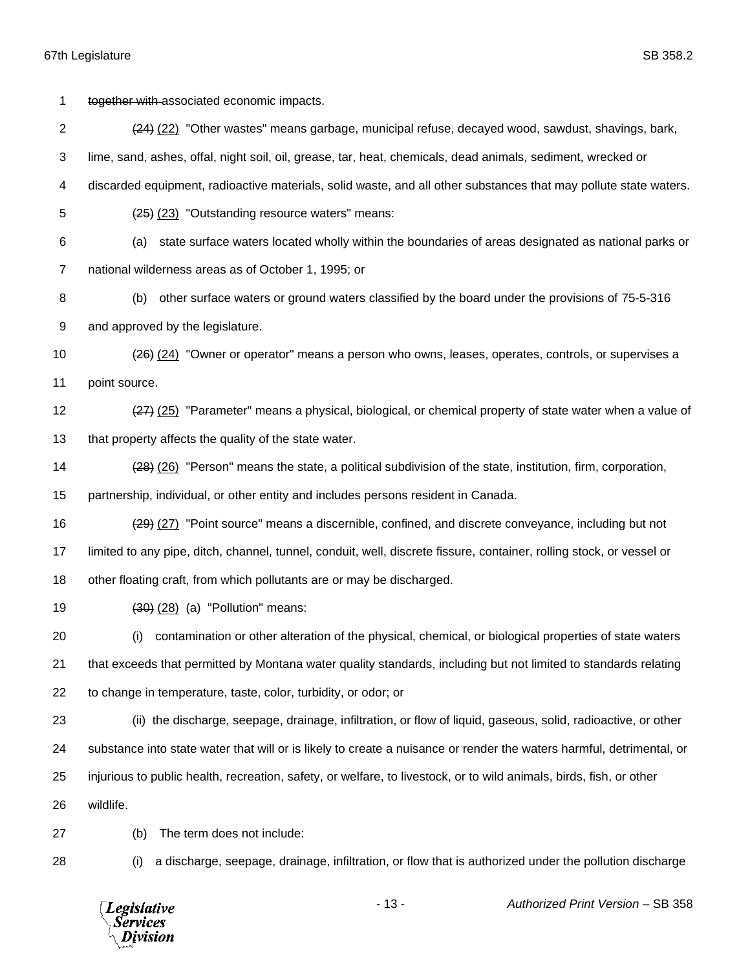1 together with associated economic impacts. (24) (22) "Other wastes" means garbage, municipal refuse, decayed wood, sawdust, shavings, bark, lime, sand, ashes, offal, night soil, oil, grease, tar, heat, chemicals, dead animals, sediment, wrecked or discarded equipment, radioactive materials, solid waste, and all other substances that may pollute state waters. (25) (23) "Outstanding resource waters" means: (a) state surface waters located wholly within the boundaries of areas designated as national parks or national wilderness areas as of October 1, 1995; or (b) other surface waters or ground waters classified by the board under the provisions of 75-5-316 and approved by the legislature. (26) (24) "Owner or operator" means a person who owns, leases, operates, controls, or supervises a point source. 12 (27) (25) "Parameter" means a physical, biological, or chemical property of state water when a value of 13 that property affects the quality of the state water. (28) (26) "Person" means the state, a political subdivision of the state, institution, firm, corporation, partnership, individual, or other entity and includes persons resident in Canada. (29) (27) "Point source" means a discernible, confined, and discrete conveyance, including but not limited to any pipe, ditch, channel, tunnel, conduit, well, discrete fissure, container, rolling stock, or vessel or other floating craft, from which pollutants are or may be discharged. (30) (28) (a) "Pollution" means: (i) contamination or other alteration of the physical, chemical, or biological properties of state waters that exceeds that permitted by Montana water quality standards, including but not limited to standards relating to change in temperature, taste, color, turbidity, or odor; or (ii) the discharge, seepage, drainage, infiltration, or flow of liquid, gaseous, solid, radioactive, or other substance into state water that will or is likely to create a nuisance or render the waters harmful, detrimental, or injurious to public health, recreation, safety, or welfare, to livestock, or to wild animals, birds, fish, or other wildlife. (b) The term does not include: (i) a discharge, seepage, drainage, infiltration, or flow that is authorized under the pollution discharge

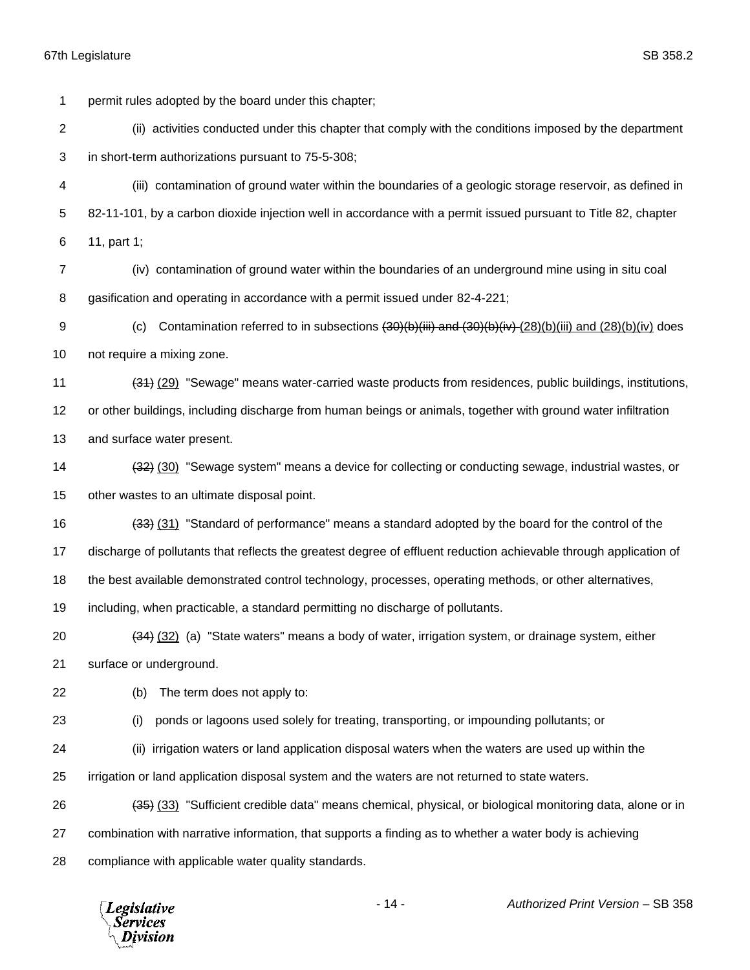permit rules adopted by the board under this chapter;

 (ii) activities conducted under this chapter that comply with the conditions imposed by the department in short-term authorizations pursuant to 75-5-308;

 (iii) contamination of ground water within the boundaries of a geologic storage reservoir, as defined in 82-11-101, by a carbon dioxide injection well in accordance with a permit issued pursuant to Title 82, chapter 11, part 1;

 (iv) contamination of ground water within the boundaries of an underground mine using in situ coal gasification and operating in accordance with a permit issued under 82-4-221;

9 (c) Contamination referred to in subsections  $\left(30\right)\left(b\right)\left(iii\right)$  and  $\left(30\right)\left(b\right)\left(iii\right)$  and  $\left(28\right)\left(b\right)\left(iv\right)$  does not require a mixing zone.

 (31) (29) "Sewage" means water-carried waste products from residences, public buildings, institutions, or other buildings, including discharge from human beings or animals, together with ground water infiltration and surface water present.

14 (32) (30) "Sewage system" means a device for collecting or conducting sewage, industrial wastes, or other wastes to an ultimate disposal point.

(33) (31) "Standard of performance" means a standard adopted by the board for the control of the

discharge of pollutants that reflects the greatest degree of effluent reduction achievable through application of

the best available demonstrated control technology, processes, operating methods, or other alternatives,

including, when practicable, a standard permitting no discharge of pollutants.

 (34) (32) (a) "State waters" means a body of water, irrigation system, or drainage system, either surface or underground.

(b) The term does not apply to:

(i) ponds or lagoons used solely for treating, transporting, or impounding pollutants; or

(ii) irrigation waters or land application disposal waters when the waters are used up within the

irrigation or land application disposal system and the waters are not returned to state waters.

(35) (33) "Sufficient credible data" means chemical, physical, or biological monitoring data, alone or in

combination with narrative information, that supports a finding as to whether a water body is achieving

compliance with applicable water quality standards.

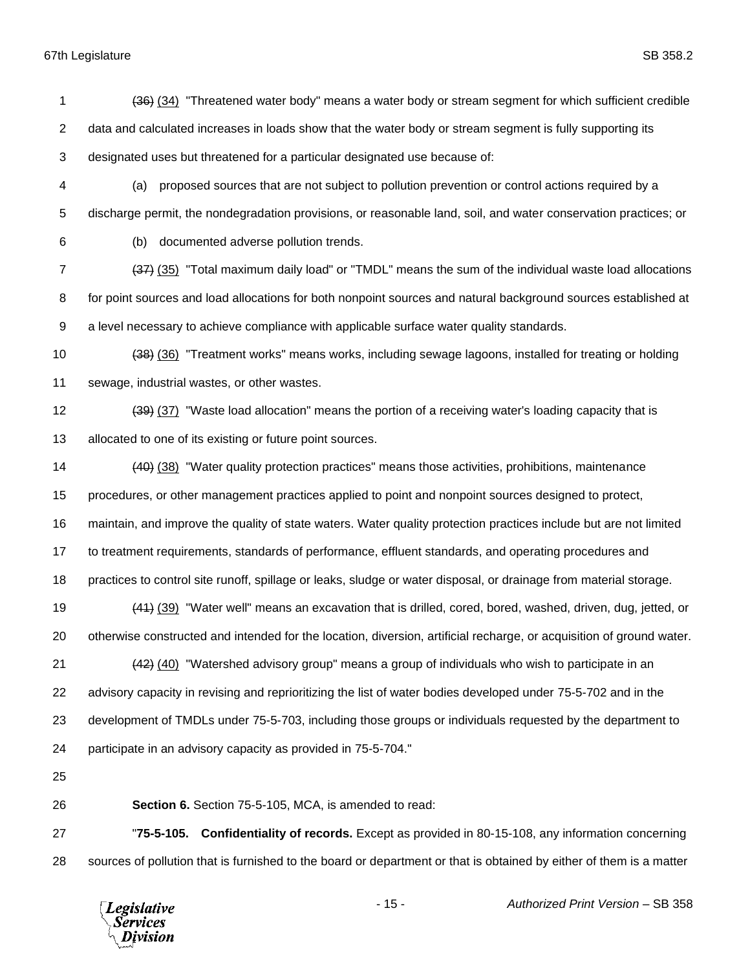1 (36) (34) "Threatened water body" means a water body or stream segment for which sufficient credible 2 data and calculated increases in loads show that the water body or stream segment is fully supporting its designated uses but threatened for a particular designated use because of: (a) proposed sources that are not subject to pollution prevention or control actions required by a discharge permit, the nondegradation provisions, or reasonable land, soil, and water conservation practices; or (b) documented adverse pollution trends. (37) (35) "Total maximum daily load" or "TMDL" means the sum of the individual waste load allocations for point sources and load allocations for both nonpoint sources and natural background sources established at a level necessary to achieve compliance with applicable surface water quality standards. (38) (36) "Treatment works" means works, including sewage lagoons, installed for treating or holding sewage, industrial wastes, or other wastes. 12 (39) (37) "Waste load allocation" means the portion of a receiving water's loading capacity that is 13 allocated to one of its existing or future point sources. (40) (38) "Water quality protection practices" means those activities, prohibitions, maintenance procedures, or other management practices applied to point and nonpoint sources designed to protect, maintain, and improve the quality of state waters. Water quality protection practices include but are not limited to treatment requirements, standards of performance, effluent standards, and operating procedures and practices to control site runoff, spillage or leaks, sludge or water disposal, or drainage from material storage. (41) (39) "Water well" means an excavation that is drilled, cored, bored, washed, driven, dug, jetted, or otherwise constructed and intended for the location, diversion, artificial recharge, or acquisition of ground water. 21 (42) (40) "Watershed advisory group" means a group of individuals who wish to participate in an advisory capacity in revising and reprioritizing the list of water bodies developed under 75-5-702 and in the development of TMDLs under 75-5-703, including those groups or individuals requested by the department to participate in an advisory capacity as provided in 75-5-704." **Section 6.** Section 75-5-105, MCA, is amended to read: "**75-5-105. Confidentiality of records.** Except as provided in 80-15-108, any information concerning

sources of pollution that is furnished to the board or department or that is obtained by either of them is a matter

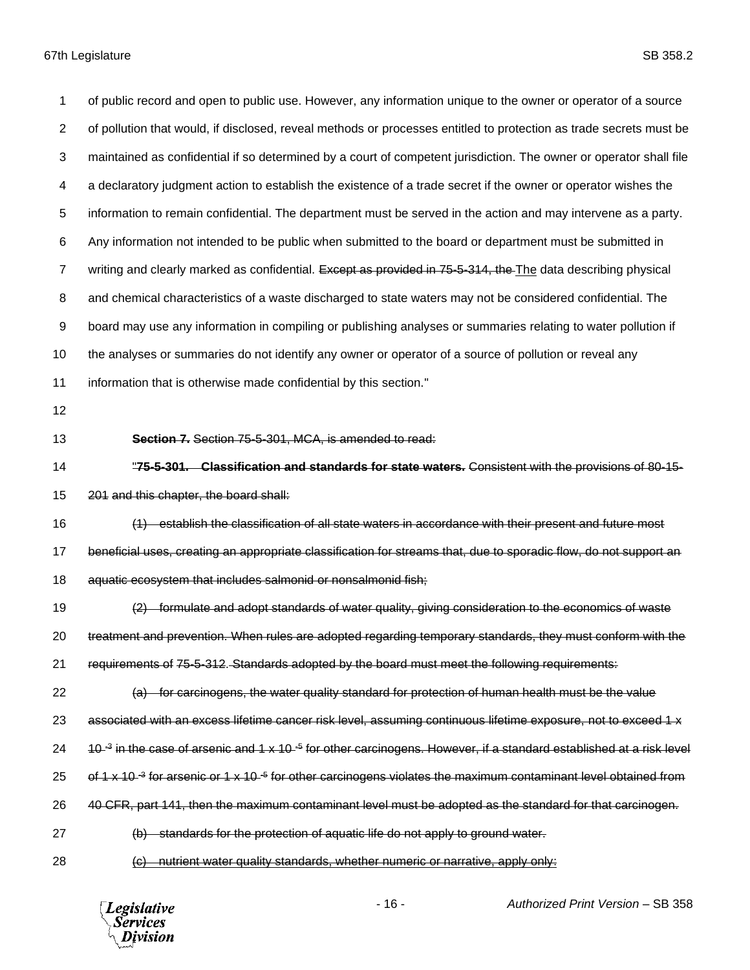of public record and open to public use. However, any information unique to the owner or operator of a source of pollution that would, if disclosed, reveal methods or processes entitled to protection as trade secrets must be maintained as confidential if so determined by a court of competent jurisdiction. The owner or operator shall file a declaratory judgment action to establish the existence of a trade secret if the owner or operator wishes the information to remain confidential. The department must be served in the action and may intervene as a party. Any information not intended to be public when submitted to the board or department must be submitted in 7 writing and clearly marked as confidential. Except as provided in 75-5-314, the The data describing physical and chemical characteristics of a waste discharged to state waters may not be considered confidential. The board may use any information in compiling or publishing analyses or summaries relating to water pollution if 10 the analyses or summaries do not identify any owner or operator of a source of pollution or reveal any information that is otherwise made confidential by this section." **Section 7.** Section 75-5-301, MCA, is amended to read: "**75-5-301. Classification and standards for state waters.** Consistent with the provisions of 80-15- 201 and this chapter, the board shall: (1) establish the classification of all state waters in accordance with their present and future most beneficial uses, creating an appropriate classification for streams that, due to sporadic flow, do not support an aquatic ecosystem that includes salmonid or nonsalmonid fish; (2) formulate and adopt standards of water quality, giving consideration to the economics of waste treatment and prevention. When rules are adopted regarding temporary standards, they must conform with the requirements of 75-5-312. Standards adopted by the board must meet the following requirements: (a) for carcinogens, the water quality standard for protection of human health must be the value 23 associated with an excess lifetime cancer risk level, assuming continuous lifetime exposure, not to exceed 1 x 24 a 10-<sup>3</sup> in the case of arsenic and 1 x 10-<sup>5</sup> for other carcinogens. However, if a standard established at a risk level 25 of 1 x 10-<sup>3</sup> for arsenic or 1 x 10-<sup>5</sup> for other carcinogens violates the maximum contaminant level obtained from 26 40 CFR, part 141, then the maximum contaminant level must be adopted as the standard for that carcinogen. (b) standards for the protection of aquatic life do not apply to ground water. (c) nutrient water quality standards, whether numeric or narrative, apply only:

**Legislative Services** Division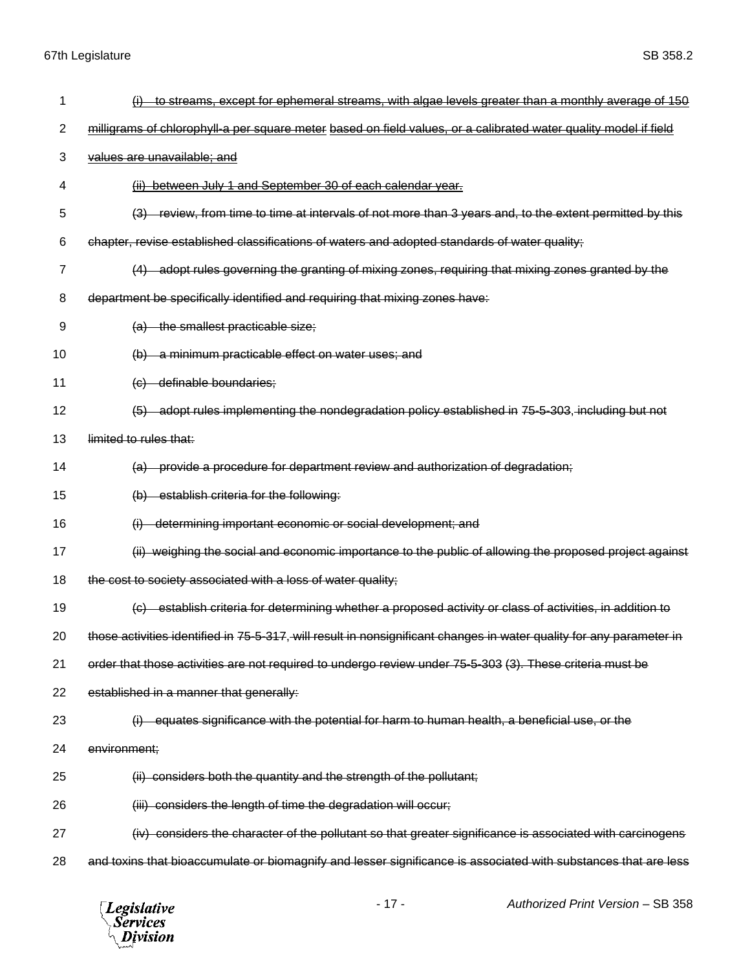| 1  | to streams, except for ephemeral streams, with algae levels greater than a monthly average of 150                    |
|----|----------------------------------------------------------------------------------------------------------------------|
| 2  | milligrams of chlorophyll-a per square meter based on field values, or a calibrated water quality model if field     |
| 3  | values are unavailable; and                                                                                          |
| 4  | (ii) between July 1 and September 30 of each calendar year.                                                          |
| 5  | (3) review, from time to time at intervals of not more than 3 years and, to the extent permitted by this             |
| 6  | chapter, revise established classifications of waters and adopted standards of water quality;                        |
| 7  | adopt rules governing the granting of mixing zones, requiring that mixing zones granted by the                       |
| 8  | department be specifically identified and requiring that mixing zones have:                                          |
| 9  | (a) the smallest practicable size;                                                                                   |
| 10 | -a minimum practicable effect on water uses; and<br>$\Theta$                                                         |
| 11 | definable boundaries;<br>$\left(\Theta\right)$                                                                       |
| 12 | adopt rules implementing the nondegradation policy established in 75-5-303, including but not<br>(5)                 |
| 13 | limited to rules that:                                                                                               |
| 14 | provide a procedure for department review and authorization of degradation;                                          |
| 15 | establish criteria for the following:<br>(b)                                                                         |
| 16 | determining important economic or social development; and                                                            |
| 17 | weighing the social and economic importance to the public of allowing the proposed project against<br>(ii)           |
| 18 | the cost to society associated with a loss of water quality;                                                         |
| 19 | establish criteria for determining whether a proposed activity or class of activities, in addition to                |
| 20 | those activities identified in 75-5-317, will result in nonsignificant changes in water quality for any parameter in |
| 21 | order that those activities are not required to undergo review under 75-5-303 (3). These criteria must be            |
| 22 | established in a manner that generally:                                                                              |
| 23 | (i) equates significance with the potential for harm to human health, a beneficial use, or the                       |
| 24 | environment;                                                                                                         |
| 25 | (ii) considers both the quantity and the strength of the pollutant;                                                  |
| 26 | (iii) considers the length of time the degradation will occur;                                                       |
| 27 | (iv) considers the character of the pollutant so that greater significance is associated with carcinogens            |
| 28 | and toxins that bioaccumulate or biomagnify and lesser significance is associated with substances that are less      |

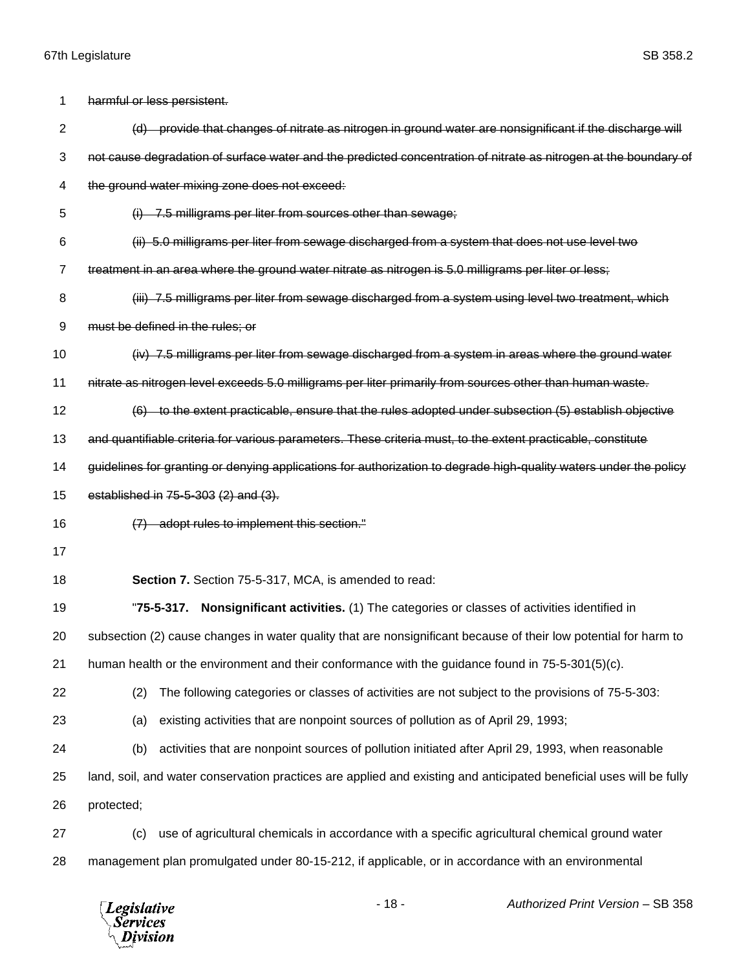| 1              | harmful or less persistent.                                                                                         |
|----------------|---------------------------------------------------------------------------------------------------------------------|
| $\overline{2}$ | (d) provide that changes of nitrate as nitrogen in ground water are nonsignificant if the discharge will            |
| 3              | not cause degradation of surface water and the predicted concentration of nitrate as nitrogen at the boundary of    |
| 4              | the ground water mixing zone does not exceed:                                                                       |
| 5              | $(i)$ 7.5 milligrams per liter from sources other than sewage;                                                      |
| 6              | (ii) 5.0 milligrams per liter from sewage discharged from a system that does not use level two                      |
| 7              | treatment in an area where the ground water nitrate as nitrogen is 5.0 milligrams per liter or less;                |
| 8              | (iii) 7.5 milligrams per liter from sewage discharged from a system using level two treatment, which                |
| 9              | must be defined in the rules; or                                                                                    |
| 10             | (iv) 7.5 milligrams per liter from sewage discharged from a system in areas where the ground water                  |
| 11             | nitrate as nitrogen level exceeds 5.0 milligrams per liter primarily from sources other than human waste.           |
| 12             | (6) to the extent practicable, ensure that the rules adopted under subsection (5) establish objective               |
| 13             | and quantifiable criteria for various parameters. These criteria must, to the extent practicable, constitute        |
| 14             | guidelines for granting or denying applications for authorization to degrade high-quality waters under the policy   |
| 15             | established in 75-5-303 (2) and (3).                                                                                |
| 16             | (7) adopt rules to implement this section."                                                                         |
| 17             |                                                                                                                     |
| 18             | Section 7. Section 75-5-317, MCA, is amended to read:                                                               |
| 19             | Nonsignificant activities. (1) The categories or classes of activities identified in<br>$"75-5-317.$                |
| 20             | subsection (2) cause changes in water quality that are nonsignificant because of their low potential for harm to    |
| 21             | human health or the environment and their conformance with the guidance found in 75-5-301(5)(c).                    |
| 22             | The following categories or classes of activities are not subject to the provisions of 75-5-303:<br>(2)             |
| 23             | existing activities that are nonpoint sources of pollution as of April 29, 1993;<br>(a)                             |
| 24             | activities that are nonpoint sources of pollution initiated after April 29, 1993, when reasonable<br>(b)            |
| 25             | land, soil, and water conservation practices are applied and existing and anticipated beneficial uses will be fully |
| 26             | protected;                                                                                                          |
| 27             | use of agricultural chemicals in accordance with a specific agricultural chemical ground water<br>(c)               |
| 28             | management plan promulgated under 80-15-212, if applicable, or in accordance with an environmental                  |
|                |                                                                                                                     |

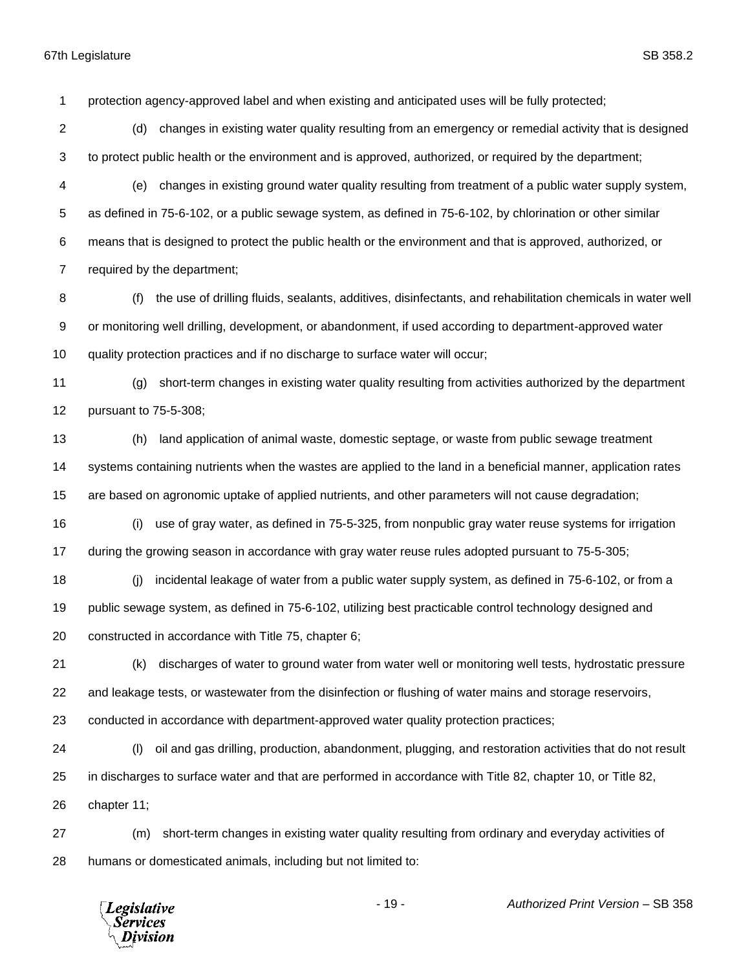protection agency-approved label and when existing and anticipated uses will be fully protected;

- (d) changes in existing water quality resulting from an emergency or remedial activity that is designed to protect public health or the environment and is approved, authorized, or required by the department;
- (e) changes in existing ground water quality resulting from treatment of a public water supply system, as defined in 75-6-102, or a public sewage system, as defined in 75-6-102, by chlorination or other similar means that is designed to protect the public health or the environment and that is approved, authorized, or required by the department;
- (f) the use of drilling fluids, sealants, additives, disinfectants, and rehabilitation chemicals in water well or monitoring well drilling, development, or abandonment, if used according to department-approved water quality protection practices and if no discharge to surface water will occur;
- (g) short-term changes in existing water quality resulting from activities authorized by the department pursuant to 75-5-308;
- (h) land application of animal waste, domestic septage, or waste from public sewage treatment systems containing nutrients when the wastes are applied to the land in a beneficial manner, application rates are based on agronomic uptake of applied nutrients, and other parameters will not cause degradation;
- (i) use of gray water, as defined in 75-5-325, from nonpublic gray water reuse systems for irrigation during the growing season in accordance with gray water reuse rules adopted pursuant to 75-5-305;
- (j) incidental leakage of water from a public water supply system, as defined in 75-6-102, or from a public sewage system, as defined in 75-6-102, utilizing best practicable control technology designed and constructed in accordance with Title 75, chapter 6;
- (k) discharges of water to ground water from water well or monitoring well tests, hydrostatic pressure and leakage tests, or wastewater from the disinfection or flushing of water mains and storage reservoirs,
- conducted in accordance with department-approved water quality protection practices;
- (l) oil and gas drilling, production, abandonment, plugging, and restoration activities that do not result in discharges to surface water and that are performed in accordance with Title 82, chapter 10, or Title 82, chapter 11;
- (m) short-term changes in existing water quality resulting from ordinary and everyday activities of humans or domesticated animals, including but not limited to:

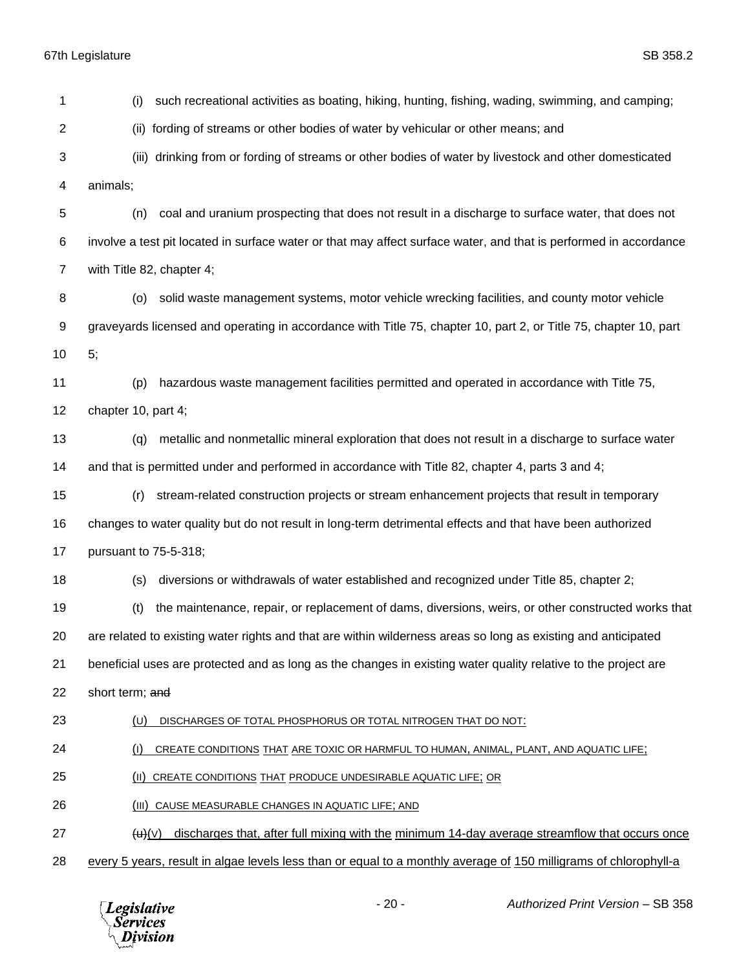(i) such recreational activities as boating, hiking, hunting, fishing, wading, swimming, and camping; (ii) fording of streams or other bodies of water by vehicular or other means; and (iii) drinking from or fording of streams or other bodies of water by livestock and other domesticated animals; (n) coal and uranium prospecting that does not result in a discharge to surface water, that does not involve a test pit located in surface water or that may affect surface water, and that is performed in accordance with Title 82, chapter 4; (o) solid waste management systems, motor vehicle wrecking facilities, and county motor vehicle graveyards licensed and operating in accordance with Title 75, chapter 10, part 2, or Title 75, chapter 10, part 5; (p) hazardous waste management facilities permitted and operated in accordance with Title 75, chapter 10, part 4; (q) metallic and nonmetallic mineral exploration that does not result in a discharge to surface water and that is permitted under and performed in accordance with Title 82, chapter 4, parts 3 and 4; (r) stream-related construction projects or stream enhancement projects that result in temporary changes to water quality but do not result in long-term detrimental effects and that have been authorized pursuant to 75-5-318; (s) diversions or withdrawals of water established and recognized under Title 85, chapter 2; (t) the maintenance, repair, or replacement of dams, diversions, weirs, or other constructed works that are related to existing water rights and that are within wilderness areas so long as existing and anticipated beneficial uses are protected and as long as the changes in existing water quality relative to the project are 22 short term; and (U) DISCHARGES OF TOTAL PHOSPHORUS OR TOTAL NITROGEN THAT DO NOT: (I) CREATE CONDITIONS THAT ARE TOXIC OR HARMFUL TO HUMAN, ANIMAL, PLANT, AND AQUATIC LIFE; (II) CREATE CONDITIONS THAT PRODUCE UNDESIRABLE AQUATIC LIFE; OR 26 (III) CAUSE MEASURABLE CHANGES IN AQUATIC LIFE; AND (u)(V) discharges that, after full mixing with the minimum 14-day average streamflow that occurs once every 5 years, result in algae levels less than or equal to a monthly average of 150 milligrams of chlorophyll-a

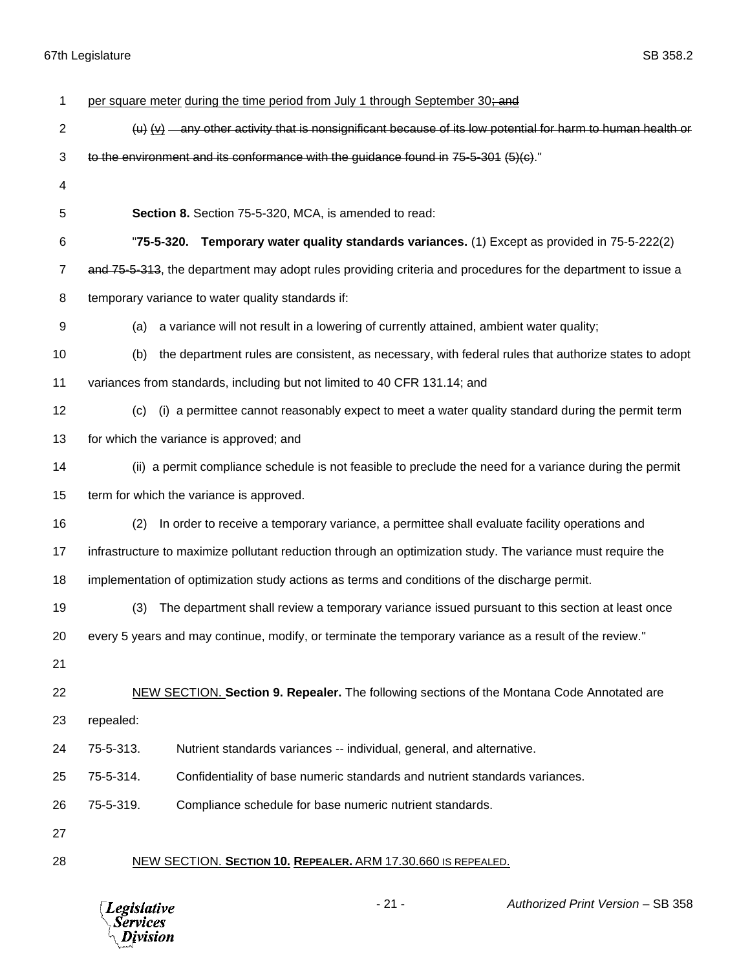| 1              | per square meter during the time period from July 1 through September 30; and                                                                            |
|----------------|----------------------------------------------------------------------------------------------------------------------------------------------------------|
| $\overline{2}$ | $\langle u \rangle$ $\langle \underline{v} \rangle$ - any other activity that is nonsignificant because of its low potential for harm to human health or |
| 3              | to the environment and its conformance with the guidance found in 75-5-301 $(5)(c)$ .                                                                    |
| 4              |                                                                                                                                                          |
| 5              | Section 8. Section 75-5-320, MCA, is amended to read:                                                                                                    |
| 6              | "75-5-320. Temporary water quality standards variances. (1) Except as provided in 75-5-222(2)                                                            |
| $\overline{7}$ | and 75-5-313, the department may adopt rules providing criteria and procedures for the department to issue a                                             |
| 8              | temporary variance to water quality standards if:                                                                                                        |
| 9              | a variance will not result in a lowering of currently attained, ambient water quality;<br>(a)                                                            |
| 10             | the department rules are consistent, as necessary, with federal rules that authorize states to adopt<br>(b)                                              |
| 11             | variances from standards, including but not limited to 40 CFR 131.14; and                                                                                |
| 12             | (i) a permittee cannot reasonably expect to meet a water quality standard during the permit term<br>(c)                                                  |
| 13             | for which the variance is approved; and                                                                                                                  |
| 14             | (ii) a permit compliance schedule is not feasible to preclude the need for a variance during the permit                                                  |
| 15             | term for which the variance is approved.                                                                                                                 |
| 16             | (2)<br>In order to receive a temporary variance, a permittee shall evaluate facility operations and                                                      |
| 17             | infrastructure to maximize pollutant reduction through an optimization study. The variance must require the                                              |
| 18             | implementation of optimization study actions as terms and conditions of the discharge permit.                                                            |
| 19             | The department shall review a temporary variance issued pursuant to this section at least once<br>(3)                                                    |
| 20             | every 5 years and may continue, modify, or terminate the temporary variance as a result of the review."                                                  |
| 21             |                                                                                                                                                          |
| 22             | NEW SECTION. Section 9. Repealer. The following sections of the Montana Code Annotated are                                                               |
| 23             | repealed:                                                                                                                                                |
| 24             | 75-5-313.<br>Nutrient standards variances -- individual, general, and alternative.                                                                       |
| 25             | Confidentiality of base numeric standards and nutrient standards variances.<br>75-5-314.                                                                 |
| 26             | 75-5-319.<br>Compliance schedule for base numeric nutrient standards.                                                                                    |
| 27             |                                                                                                                                                          |
| 28             | NEW SECTION. SECTION 10. REPEALER. ARM 17.30.660 IS REPEALED.                                                                                            |